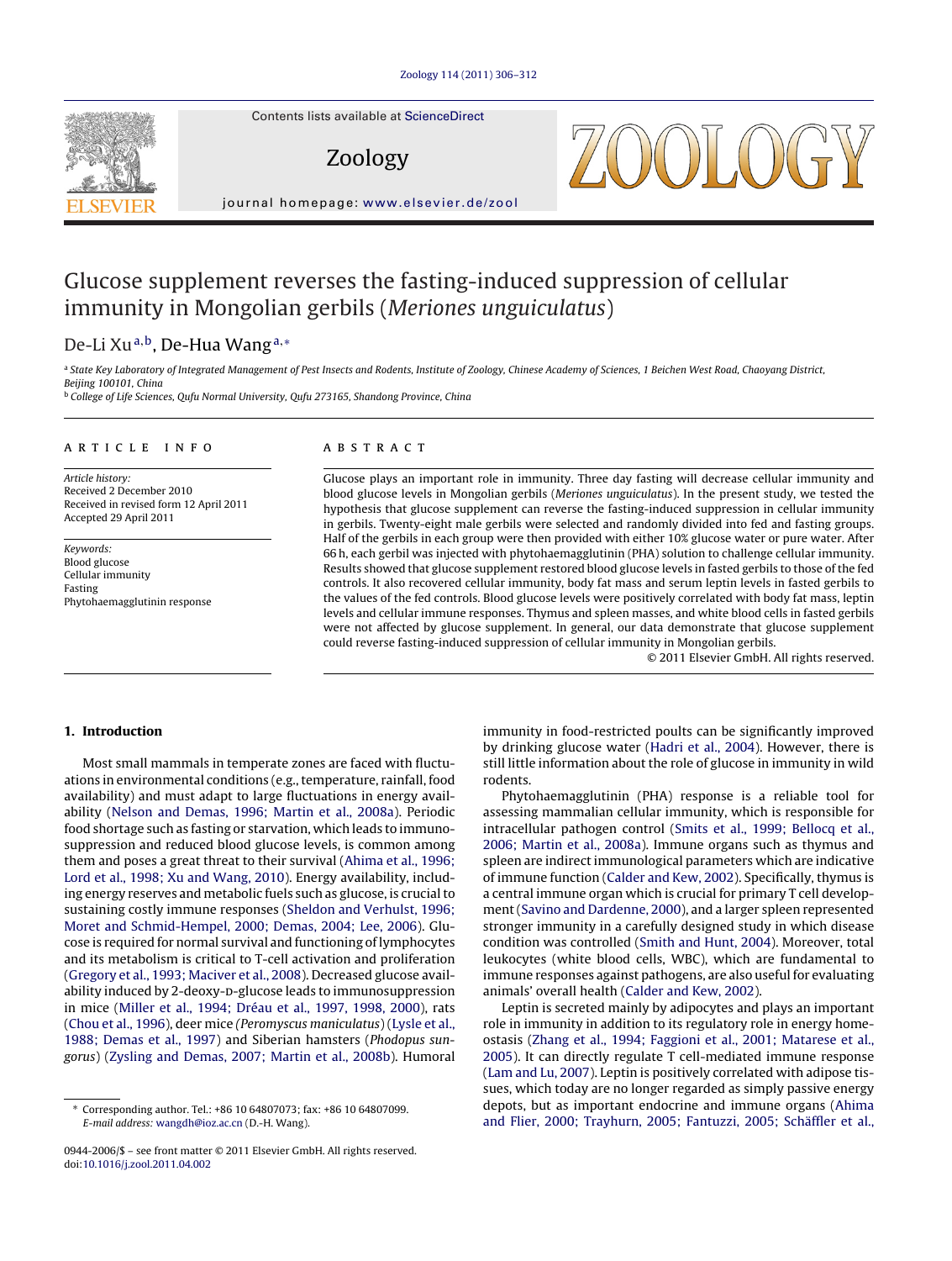

Contents lists available at [ScienceDirect](http://www.sciencedirect.com/science/journal/09442006)

Zoology

journal homepage: [www.elsevier.de/zool](http://www.elsevier.de/zool)

# Glucose supplement reverses the fasting-induced suppression of cellular immunity in Mongolian gerbils (Meriones unguiculatus)

# De-Li Xu<sup>a,b</sup>, De-Hua Wang<sup>a,∗</sup>

a State Key Laboratory of Integrated Management of Pest Insects and Rodents, Institute of Zoology, Chinese Academy of Sciences, 1 Beichen West Road, Chaoyang District, Beijing 100101, China

<sup>b</sup> College of Life Sciences, Qufu Normal University, Qufu 273165, Shandong Province, China

# a r t i c l e i n f o

Article history: Received 2 December 2010 Received in revised form 12 April 2011 Accepted 29 April 2011

Keywords: Blood glucose Cellular immunity Fasting Phytohaemagglutinin response

# A B S T R A C T

Glucose plays an important role in immunity. Three day fasting will decrease cellular immunity and blood glucose levels in Mongolian gerbils (Meriones unguiculatus). In the present study, we tested the hypothesis that glucose supplement can reverse the fasting-induced suppression in cellular immunity in gerbils. Twenty-eight male gerbils were selected and randomly divided into fed and fasting groups. Half of the gerbils in each group were then provided with either 10% glucose water or pure water. After 66 h, each gerbil was injected with phytohaemagglutinin (PHA) solution to challenge cellular immunity. Results showed that glucose supplement restored blood glucose levels in fasted gerbils to those of the fed controls. It also recovered cellular immunity, body fat mass and serum leptin levels in fasted gerbils to the values of the fed controls. Blood glucose levels were positively correlated with body fat mass, leptin levels and cellular immune responses. Thymus and spleen masses, and white blood cells in fasted gerbils were not affected by glucose supplement. In general, our data demonstrate that glucose supplement could reverse fasting-induced suppression of cellular immunity in Mongolian gerbils.

© 2011 Elsevier GmbH. All rights reserved.

# **1. Introduction**

Most small mammals in temperate zones are faced with fluctuations in environmental conditions (e.g., temperature, rainfall, food availability) and must adapt to large fluctuations in energy availability [\(Nelson](#page-6-0) [and](#page-6-0) [Demas,](#page-6-0) [1996;](#page-6-0) [Martin](#page-6-0) et [al.,](#page-6-0) [2008a\).](#page-6-0) Periodic food shortage such as fasting or starvation, which leads to immunosuppression and reduced blood glucose levels, is common among them and poses a great threat to their survival [\(Ahima](#page-5-0) et [al.,](#page-5-0) [1996;](#page-5-0) [Lord](#page-5-0) et [al.,](#page-5-0) [1998;](#page-5-0) [Xu](#page-5-0) [and](#page-5-0) [Wang,](#page-5-0) [2010\).](#page-5-0) Energy availability, including energy reserves and metabolic fuels such as glucose, is crucialto sustaining costly immune responses [\(Sheldon](#page-6-0) [and](#page-6-0) [Verhulst,](#page-6-0) [1996;](#page-6-0) [Moret](#page-6-0) [and](#page-6-0) [Schmid-Hempel,](#page-6-0) [2000;](#page-6-0) [Demas,](#page-6-0) [2004;](#page-6-0) [Lee,](#page-6-0) [2006\).](#page-6-0) Glucose is required for normal survival and functioning of lymphocytes and its metabolism is critical to T-cell activation and proliferation ([Gregory](#page-5-0) et [al.,](#page-5-0) [1993;](#page-5-0) [Maciver](#page-5-0) et [al.,](#page-5-0) [2008\).](#page-5-0) Decreased glucose availability induced by 2-deoxy-p-glucose leads to immunosuppression in mice [\(Miller](#page-6-0) et [al.,](#page-6-0) [1994;](#page-6-0) [Dréau](#page-6-0) et [al.,](#page-6-0) [1997,](#page-6-0) [1998,](#page-6-0) [2000\),](#page-6-0) rats ([Chou](#page-5-0) et [al.,](#page-5-0) [1996\),](#page-5-0) deer mice (Peromyscus maniculatus) ([Lysle](#page-5-0) et [al.,](#page-5-0) [1988;](#page-5-0) [Demas](#page-5-0) et [al.,](#page-5-0) [1997\)](#page-5-0) and Siberian hamsters (Phodopus sungorus) ([Zysling](#page-6-0) [and](#page-6-0) [Demas,](#page-6-0) [2007;](#page-6-0) [Martin](#page-6-0) [et](#page-6-0) [al.,](#page-6-0) [2008b\).](#page-6-0) Humoral immunity in food-restricted poults can be significantly improved by drinking glucose water ([Hadri](#page-5-0) et [al.,](#page-5-0) [2004\).](#page-5-0) However, there is still little information about the role of glucose in immunity in wild rodents.

Phytohaemagglutinin (PHA) response is a reliable tool for assessing mammalian cellular immunity, which is responsible for intracellular pathogen control ([Smits](#page-6-0) et [al.,](#page-6-0) [1999;](#page-6-0) [Bellocq](#page-6-0) et [al.,](#page-6-0) [2006;](#page-6-0) [Martin](#page-6-0) et [al.,](#page-6-0) [2008a\).](#page-6-0) Immune organs such as thymus and spleen are indirect immunological parameters which are indicative of immune function ([Calder](#page-5-0) [and](#page-5-0) [Kew,](#page-5-0) [2002\).](#page-5-0) Specifically, thymus is a central immune organ which is crucial for primary T cell development([Savino](#page-6-0) [and](#page-6-0) [Dardenne,](#page-6-0) [2000\),](#page-6-0) and a larger spleen represented stronger immunity in a carefully designed study in which disease condition was controlled ([Smith](#page-6-0) [and](#page-6-0) [Hunt,](#page-6-0) [2004\).](#page-6-0) Moreover, total leukocytes (white blood cells, WBC), which are fundamental to immune responses against pathogens, are also useful for evaluating animals' overall health ([Calder](#page-5-0) [and](#page-5-0) [Kew,](#page-5-0) [2002\).](#page-5-0)

Leptin is secreted mainly by adipocytes and plays an important role in immunity in addition to its regulatory role in energy homeostasis ([Zhang](#page-6-0) et [al.,](#page-6-0) [1994;](#page-6-0) [Faggioni](#page-6-0) et [al.,](#page-6-0) [2001;](#page-6-0) [Matarese](#page-6-0) et [al.,](#page-6-0) [2005\).](#page-6-0) It can directly regulate T cell-mediated immune response [\(Lam](#page-5-0) [and](#page-5-0) [Lu,](#page-5-0) [2007\).](#page-5-0) Leptin is positively correlated with adipose tissues, which today are no longer regarded as simply passive energy depots, but as important endocrine and immune organs ([Ahima](#page-5-0) [and](#page-5-0) [Flier,](#page-5-0) [2000;](#page-5-0) [Trayhurn,](#page-5-0) [2005;](#page-5-0) [Fantuzzi,](#page-5-0) [2005;](#page-5-0) [Schäffler](#page-5-0) [et](#page-5-0) [al.,](#page-5-0)

<sup>∗</sup> Corresponding author. Tel.: +86 10 64807073; fax: +86 10 64807099. E-mail address: [wangdh@ioz.ac.cn](mailto:wangdh@ioz.ac.cn) (D.-H. Wang).

<sup>0944-2006/\$</sup> – see front matter © 2011 Elsevier GmbH. All rights reserved. doi:[10.1016/j.zool.2011.04.002](dx.doi.org/10.1016/j.zool.2011.04.002)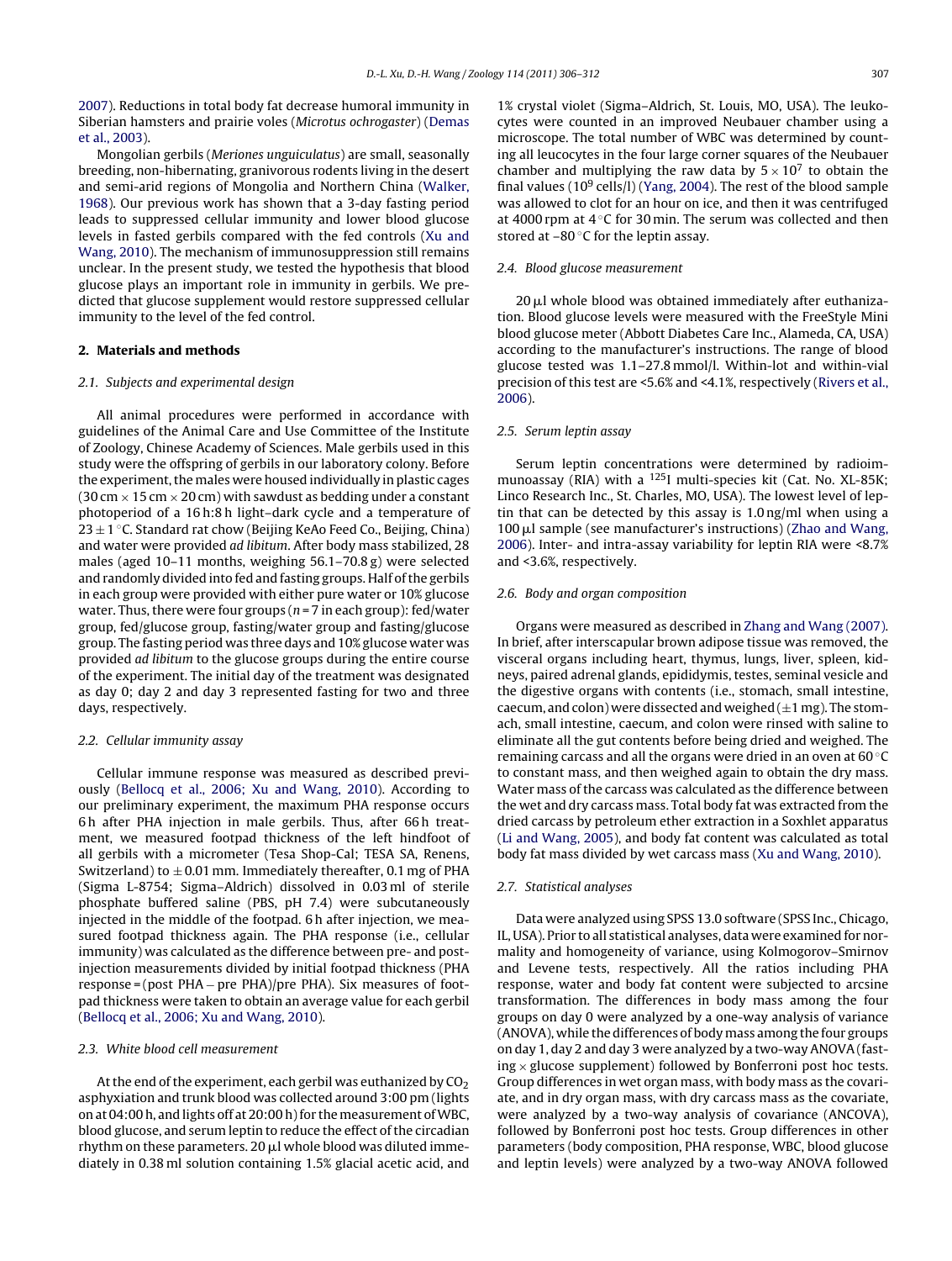[2007\).](#page-5-0) Reductions in total body fat decrease humoral immunity in Siberian hamsters and prairie voles (Microtus ochrogaster) [\(Demas](#page-5-0) et [al.,](#page-5-0) [2003\).](#page-5-0)

Mongolian gerbils (Meriones unguiculatus) are small, seasonally breeding, non-hibernating, granivorous rodents living in the desert and semi-arid regions of Mongolia and Northern China ([Walker,](#page-6-0) [1968\).](#page-6-0) Our previous work has shown that a 3-day fasting period leads to suppressed cellular immunity and lower blood glucose levels in fasted gerbils compared with the fed controls [\(Xu](#page-6-0) [and](#page-6-0) [Wang,](#page-6-0) [2010\).](#page-6-0) The mechanism of immunosuppression still remains unclear. In the present study, we tested the hypothesis that blood glucose plays an important role in immunity in gerbils. We predicted that glucose supplement would restore suppressed cellular immunity to the level of the fed control.

## **2. Materials and methods**

## 2.1. Subjects and experimental design

All animal procedures were performed in accordance with guidelines of the Animal Care and Use Committee of the Institute of Zoology, Chinese Academy of Sciences. Male gerbils used in this study were the offspring of gerbils in our laboratory colony. Before the experiment, the males were housed individually in plastic cages (30 cm  $\times$  15 cm  $\times$  20 cm) with sawdust as bedding under a constant photoperiod of a 16 h:8 h light–dark cycle and a temperature of 23 ± 1 °C. Standard rat chow (Beijing KeAo Feed Co., Beijing, China) and water were provided ad libitum. After body mass stabilized, 28 males (aged 10–11 months, weighing 56.1–70.8 g) were selected and randomly divided into fed and fasting groups. Half of the gerbils in each group were provided with either pure water or 10% glucose water. Thus, there were four groups ( $n = 7$  in each group): fed/water group, fed/glucose group, fasting/water group and fasting/glucose group. The fasting period was three days and 10% glucose water was provided ad libitum to the glucose groups during the entire course of the experiment. The initial day of the treatment was designated as day 0; day 2 and day 3 represented fasting for two and three days, respectively.

#### 2.2. Cellular immunity assay

Cellular immune response was measured as described previously [\(Bellocq](#page-5-0) et [al.,](#page-5-0) [2006;](#page-5-0) [Xu](#page-5-0) [and](#page-5-0) [Wang,](#page-5-0) [2010\).](#page-5-0) According to our preliminary experiment, the maximum PHA response occurs 6 h after PHA injection in male gerbils. Thus, after 66 h treatment, we measured footpad thickness of the left hindfoot of all gerbils with a micrometer (Tesa Shop-Cal; TESA SA, Renens, Switzerland) to  $\pm$  0.01 mm. Immediately thereafter, 0.1 mg of PHA (Sigma L-8754; Sigma–Aldrich) dissolved in 0.03 ml of sterile phosphate buffered saline (PBS, pH 7.4) were subcutaneously injected in the middle of the footpad. 6 h after injection, we measured footpad thickness again. The PHA response (i.e., cellular immunity) was calculated as the difference between pre- and postinjection measurements divided by initial footpad thickness (PHA response = (post PHA − pre PHA)/pre PHA). Six measures of footpad thickness were taken to obtain an average value for each gerbil ([Bellocq](#page-5-0) et [al.,](#page-5-0) [2006;](#page-5-0) [Xu](#page-5-0) [and](#page-5-0) [Wang,](#page-5-0) [2010\).](#page-5-0)

#### 2.3. White blood cell measurement

At the end of the experiment, each gerbil was euthanized by  $CO<sub>2</sub>$ asphyxiation and trunk blood was collected around 3:00 pm (lights on at 04:00 h, and lights off at 20:00 h) for the measurement of WBC, blood glucose, and serum leptin to reduce the effect of the circadian rhythm on these parameters. 20  $\mu$ l whole blood was diluted immediately in 0.38 ml solution containing 1.5% glacial acetic acid, and 1% crystal violet (Sigma–Aldrich, St. Louis, MO, USA). The leukocytes were counted in an improved Neubauer chamber using a microscope. The total number of WBC was determined by counting all leucocytes in the four large corner squares of the Neubauer chamber and multiplying the raw data by  $5 \times 10^7$  to obtain the final values ( $10^9$  cells/l) ([Yang,](#page-6-0) [2004\).](#page-6-0) The rest of the blood sample was allowed to clot for an hour on ice, and then it was centrifuged at 4000 rpm at 4 ◦C for 30 min. The serum was collected and then stored at  $-80$  °C for the leptin assay.

#### 2.4. Blood glucose measurement

20 µl whole blood was obtained immediately after euthanization. Blood glucose levels were measured with the FreeStyle Mini blood glucose meter (Abbott Diabetes Care Inc., Alameda, CA, USA) according to the manufacturer's instructions. The range of blood glucose tested was 1.1–27.8 mmol/l. Within-lot and within-vial precision of this test are <5.6% and <4.1%, respectively ([Rivers](#page-6-0) et [al.,](#page-6-0) [2006\).](#page-6-0)

#### 2.5. Serum leptin assay

Serum leptin concentrations were determined by radioimmunoassay (RIA) with a <sup>125</sup>I multi-species kit (Cat. No. XL-85K; Linco Research Inc., St. Charles, MO, USA). The lowest level of leptin that can be detected by this assay is 1.0 ng/ml when using a  $100 \mu$ l sample (see manufacturer's instructions) ([Zhao](#page-6-0) [and](#page-6-0) [Wang,](#page-6-0) [2006\).](#page-6-0) Inter- and intra-assay variability for leptin RIA were <8.7% and <3.6%, respectively.

#### 2.6. Body and organ composition

Organs were measured as described in [Zhang](#page-6-0) [and](#page-6-0) [Wang](#page-6-0) [\(2007\).](#page-6-0) In brief, after interscapular brown adipose tissue was removed, the visceral organs including heart, thymus, lungs, liver, spleen, kidneys, paired adrenal glands, epididymis, testes, seminal vesicle and the digestive organs with contents (i.e., stomach, small intestine, caecum, and colon) were dissected and weighed  $(\pm 1$  mg). The stomach, small intestine, caecum, and colon were rinsed with saline to eliminate all the gut contents before being dried and weighed. The remaining carcass and all the organs were dried in an oven at 60 ◦C to constant mass, and then weighed again to obtain the dry mass. Water mass of the carcass was calculated as the difference between the wet and dry carcass mass. Total body fat was extracted from the dried carcass by petroleum ether extraction in a Soxhlet apparatus [\(Li](#page-5-0) [and](#page-5-0) [Wang,](#page-5-0) [2005\),](#page-5-0) and body fat content was calculated as total body fat mass divided by wet carcass mass ([Xu](#page-6-0) [and](#page-6-0) [Wang,](#page-6-0) [2010\).](#page-6-0)

#### 2.7. Statistical analyses

Data were analyzed using SPSS 13.0 software (SPSS Inc., Chicago, IL, USA). Prior to all statistical analyses, data were examined for normality and homogeneity of variance, using Kolmogorov–Smirnov and Levene tests, respectively. All the ratios including PHA response, water and body fat content were subjected to arcsine transformation. The differences in body mass among the four groups on day 0 were analyzed by a one-way analysis of variance (ANOVA), while the differences of bodymass among the four groups on day 1, day 2 and day 3 were analyzed by a two-way ANOVA (fast $ing \times$  glucose supplement) followed by Bonferroni post hoc tests. Group differences in wet organ mass, with body mass as the covariate, and in dry organ mass, with dry carcass mass as the covariate, were analyzed by a two-way analysis of covariance (ANCOVA), followed by Bonferroni post hoc tests. Group differences in other parameters (body composition, PHA response, WBC, blood glucose and leptin levels) were analyzed by a two-way ANOVA followed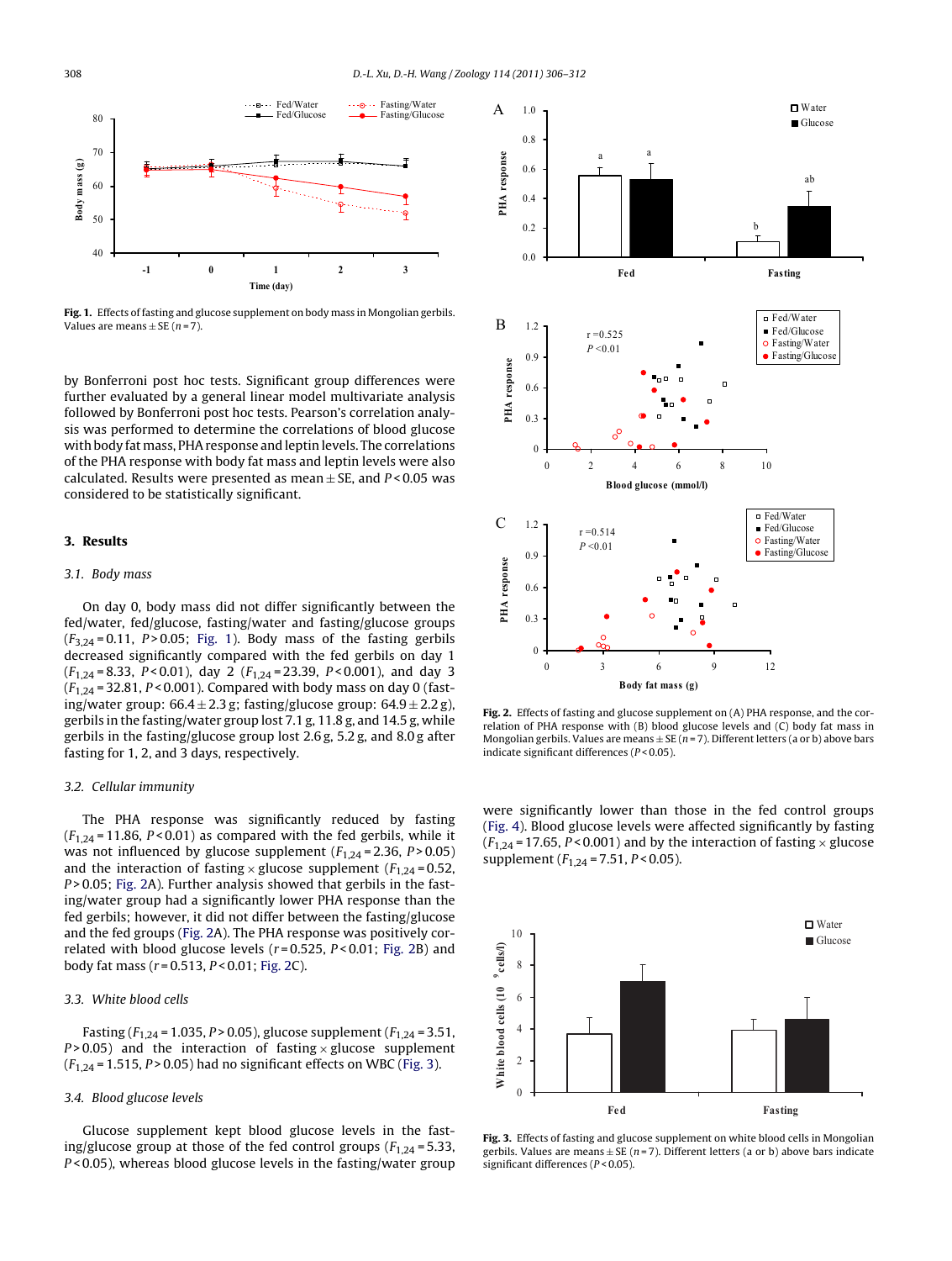

**Fig. 1.** Effects of fasting and glucose supplement on body mass in Mongolian gerbils. Values are means  $\pm$  SE (n = 7).

by Bonferroni post hoc tests. Significant group differences were further evaluated by a general linear model multivariate analysis followed by Bonferroni post hoc tests. Pearson's correlation analysis was performed to determine the correlations of blood glucose with body fat mass, PHAresponse and leptin levels. The correlations of the PHA response with body fat mass and leptin levels were also calculated. Results were presented as mean  $\pm$  SE, and P < 0.05 was considered to be statistically significant.

#### **3. Results**

#### 3.1. Body mass

On day 0, body mass did not differ significantly between the fed/water, fed/glucose, fasting/water and fasting/glucose groups  $(F_{3,24} = 0.11, P > 0.05;$  Fig. 1). Body mass of the fasting gerbils decreased significantly compared with the fed gerbils on day 1  $(F_{1,24} = 8.33, P < 0.01)$ , day 2  $(F_{1,24} = 23.39, P < 0.001)$ , and day 3  $(F_{1,24} = 32.81, P < 0.001)$ . Compared with body mass on day 0 (fasting/water group:  $66.4 \pm 2.3$  g; fasting/glucose group:  $64.9 \pm 2.2$  g), gerbils in the fasting/water group lost 7.1 g, 11.8 g, and 14.5 g, while gerbils in the fasting/glucose group lost 2.6 g, 5.2 g, and 8.0 g after fasting for 1, 2, and 3 days, respectively.

#### 3.2. Cellular immunity

The PHA response was significantly reduced by fasting  $(F<sub>1.24</sub> = 11.86, P < 0.01)$  as compared with the fed gerbils, while it was not influenced by glucose supplement  $(F_{1,24} = 2.36, P > 0.05)$ and the interaction of fasting  $\times$  glucose supplement ( $F_{1,24}$  = 0.52,  $P > 0.05$ ; Fig. 2A). Further analysis showed that gerbils in the fasting/water group had a significantly lower PHA response than the fed gerbils; however, it did not differ between the fasting/glucose and the fed groups (Fig. 2A). The PHA response was positively correlated with blood glucose levels ( $r = 0.525$ ,  $P < 0.01$ ; Fig. 2B) and body fat mass ( $r = 0.513$ ,  $P < 0.01$ ; Fig. 2C).

## 3.3. White blood cells

Fasting ( $F_{1,24}$  = 1.035, P > 0.05), glucose supplement ( $F_{1,24}$  = 3.51,  $P > 0.05$ ) and the interaction of fasting  $\times$  glucose supplement  $(F_{1,24} = 1.515, P > 0.05)$  had no significant effects on WBC (Fig. 3).

# 3.4. Blood glucose levels

Glucose supplement kept blood glucose levels in the fasting/glucose group at those of the fed control groups ( $F_{1,24}$  = 5.33,  $P < 0.05$ ), whereas blood glucose levels in the fasting/water group



**Fig. 2.** Effects of fasting and glucose supplement on (A) PHA response, and the correlation of PHA response with (B) blood glucose levels and (C) body fat mass in Mongolian gerbils. Values are means  $\pm$  SE (n = 7). Different letters (a or b) above bars indicate significant differences (P < 0.05).

were significantly lower than those in the fed control groups [\(Fig.](#page-3-0) 4). Blood glucose levels were affected significantly by fasting  $(F<sub>1,24</sub> = 17.65, P < 0.001)$  and by the interaction of fasting  $\times$  glucose supplement ( $F_{1,24}$  = 7.51,  $P$  < 0.05).



**Fig. 3.** Effects of fasting and glucose supplement on white blood cells in Mongolian gerbils. Values are means  $\pm$  SE (n = 7). Different letters (a or b) above bars indicate significant differences (P < 0.05).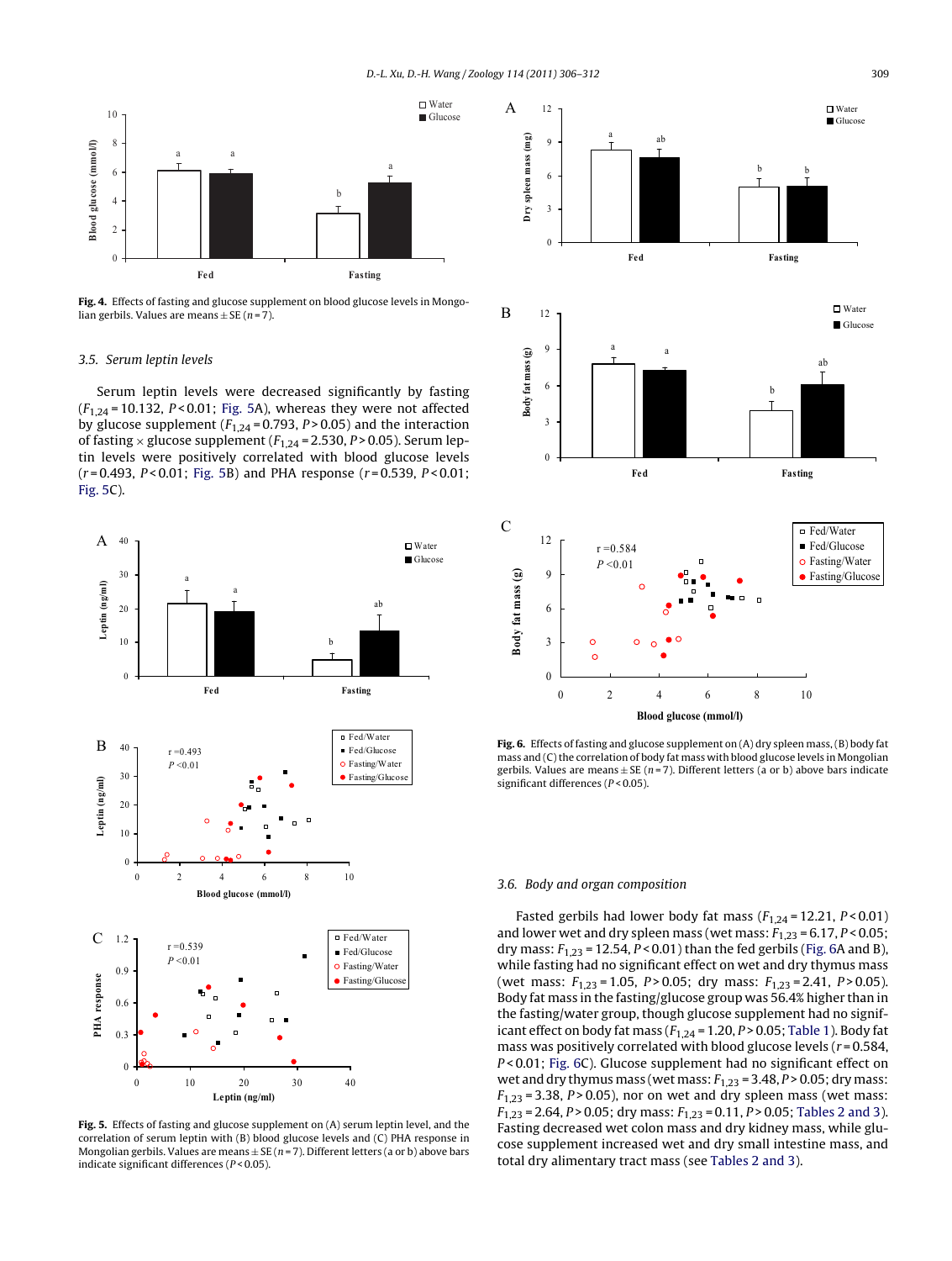<span id="page-3-0"></span>

**Fig. 4.** Effects of fasting and glucose supplement on blood glucose levels in Mongolian gerbils. Values are means  $+$  SE (n = 7).

#### 3.5. Serum leptin levels

Serum leptin levels were decreased significantly by fasting  $(F<sub>1,24</sub> = 10.132, P < 0.01$ ; Fig. 5A), whereas they were not affected by glucose supplement ( $F_{1,24}$  = 0.793,  $P > 0.05$ ) and the interaction of fasting  $\times$  glucose supplement ( $F_{1,24}$  = 2.530, P > 0.05). Serum leptin levels were positively correlated with blood glucose levels  $(r = 0.493, P < 0.01$ ; Fig. 5B) and PHA response  $(r = 0.539, P < 0.01$ ; Fig. 5C).



**Fig. 5.** Effects of fasting and glucose supplement on (A) serum leptin level, and the correlation of serum leptin with (B) blood glucose levels and (C) PHA response in Mongolian gerbils. Values are means  $\pm$  SE (n = 7). Different letters (a or b) above bars indicate significant differences (P < 0.05).



**Fig. 6.** Effects of fasting and glucose supplement on (A) dry spleen mass,(B) body fat mass and (C) the correlation of body fat mass with blood glucose levels in Mongolian gerbils. Values are means  $\pm$  SE (n = 7). Different letters (a or b) above bars indicate significant differences (P < 0.05).

#### 3.6. Body and organ composition

Fasted gerbils had lower body fat mass  $(F_{1,24} = 12.21, P < 0.01)$ and lower wet and dry spleen mass (wet mass:  $F_{1,23} = 6.17$ ,  $P < 0.05$ ; dry mass:  $F_{1,23}$  = 12.54,  $P < 0.01$ ) than the fed gerbils (Fig. 6A and B), while fasting had no significant effect on wet and dry thymus mass (wet mass:  $F_{1,23} = 1.05$ ,  $P > 0.05$ ; dry mass:  $F_{1,23} = 2.41$ ,  $P > 0.05$ ). Body fat mass in the fasting/glucose group was 56.4% higher than in the fasting/water group, though glucose supplement had no significant effect on body fat mass  $(F_{1,24} = 1.20, P > 0.05;$  [Table](#page-4-0) 1). Body fat mass was positively correlated with blood glucose levels ( $r = 0.584$ , P<0.01; Fig. 6C). Glucose supplement had no significant effect on wet and dry thymus mass (wet mass:  $F_{1,23}$  = 3.48,  $P > 0.05$ ; dry mass:  $F_{1,23}$  = 3.38, P > 0.05), nor on wet and dry spleen mass (wet mass:  $F_{1,23} = 2.64$ ,  $P > 0.05$ ; dry mass:  $F_{1,23} = 0.11$ ,  $P > 0.05$ ; [Tables](#page-4-0) 2 and 3). Fasting decreased wet colon mass and dry kidney mass, while glucose supplement increased wet and dry small intestine mass, and total dry alimentary tract mass (see [Tables](#page-4-0) 2 and 3).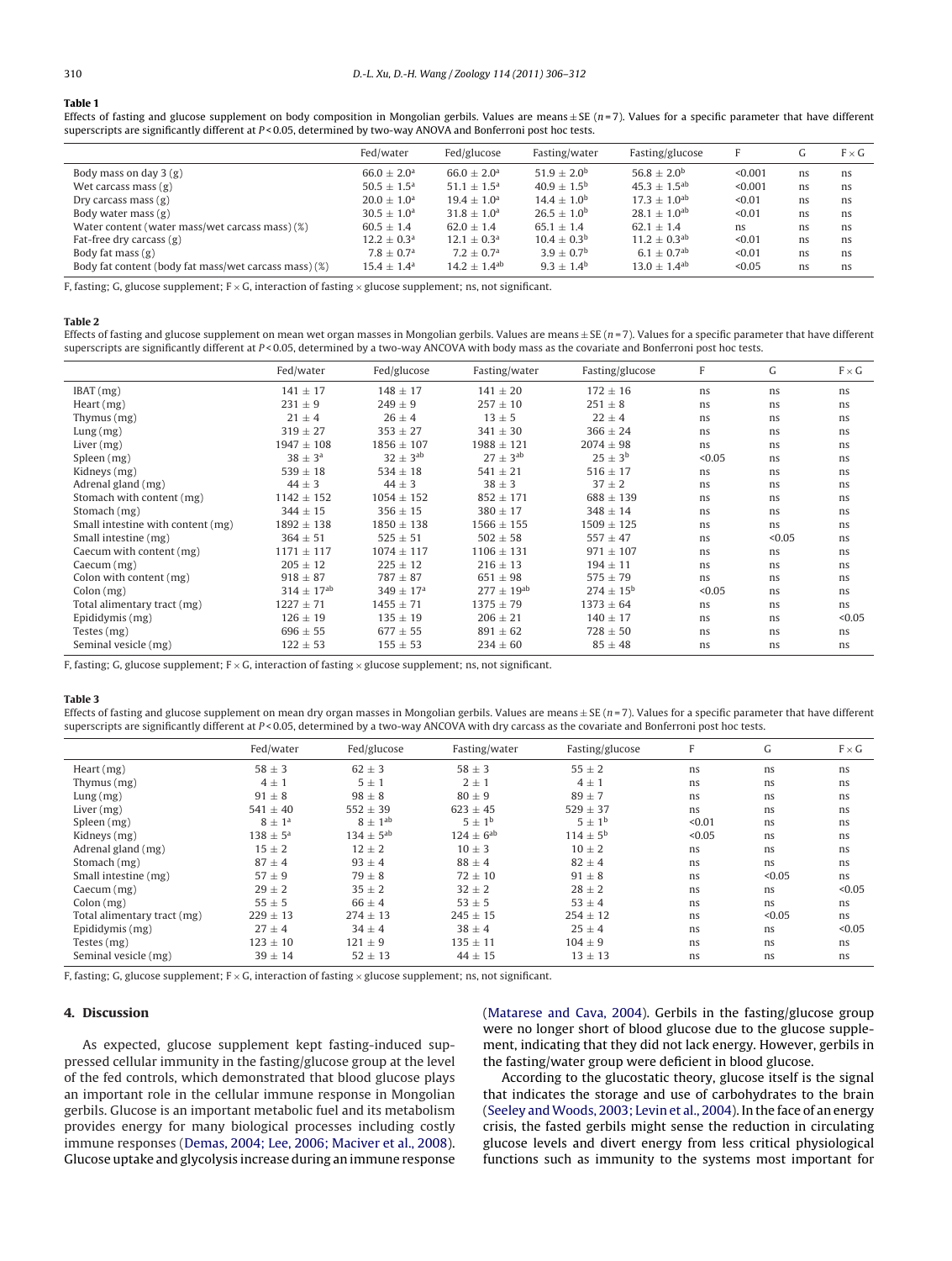#### <span id="page-4-0"></span>**Table 1**

Effects of fasting and glucose supplement on body composition in Mongolian gerbils. Values are means  $\pm$  SE (n = 7). Values for a specific parameter that have different superscripts are significantly different at P < 0.05, determined by two-way ANOVA and Bonferroni post hoc tests.

|                                                       | Fed/water                 | Fed/glucose                | Fasting/water        | Fasting/glucose            | F       | G  | $F \times G$ |
|-------------------------------------------------------|---------------------------|----------------------------|----------------------|----------------------------|---------|----|--------------|
| Body mass on day $3(g)$                               | $66.0 \pm 2.0^{\text{a}}$ | $66.0 + 2.0a$              | $51.9 + 2.0^b$       | $56.8 + 2.0^b$             | < 0.001 | ns | ns           |
| Wet carcass mass $(g)$                                | $50.5 + 1.5^{\circ}$      | $51.1 + 1.5^{\circ}$       | $40.9 + 1.5^{b}$     | $45.3 + 1.5$ <sup>ab</sup> | < 0.001 | ns | ns           |
| Dry carcass mass $(g)$                                | $20.0 + 1.0a$             | $19.4 + 1.0a$              | $14.4 + 1.0^{\rm b}$ | $17.3 + 1.0$ <sup>ab</sup> | < 0.01  | ns | ns           |
| Body water mass $(g)$                                 | $30.5 \pm 1.0^a$          | $31.8 + 1.0a$              | $26.5 + 1.0^{b}$     | $28.1 + 1.0^{ab}$          | < 0.01  | ns | ns           |
| Water content (water mass/wet carcass mass) (%)       | $60.5 \pm 1.4$            | $62.0 \pm 1.4$             | $65.1 + 1.4$         | $62.1 \pm 1.4$             | ns      | ns | ns           |
| Fat-free dry carcass $(g)$                            | $12.2 \pm 0.3^{\text{a}}$ | $12.1 + 0.3a$              | $10.4 + 0.3b$        | $11.2 + 0.3$ <sup>ab</sup> | < 0.01  | ns | ns           |
| Body fat mass $(g)$                                   | $7.8 \pm 0.7^{\rm a}$     | $7.2 + 0.7a$               | $3.9 + 0.7b$         | $6.1 + 0.7$ <sup>ab</sup>  | < 0.01  | ns | ns           |
| Body fat content (body fat mass/wet carcass mass) (%) | $15.4 \pm 1.4^{\text{a}}$ | $14.2 + 1.4$ <sup>ab</sup> | $9.3 + 1.4^b$        | $13.0 + 1.4$ <sup>ab</sup> | < 0.05  | ns | ns           |

F, fasting; G, glucose supplement;  $F \times G$ , interaction of fasting  $\times$  glucose supplement; ns, not significant.

#### **Table 2**

Effects of fasting and glucose supplement on mean wet organ masses in Mongolian gerbils. Values are means  $\pm$  SE (n = 7). Values for a specific parameter that have different superscripts are significantly different at P < 0.05, determined by a two-way ANCOVA with body mass as the covariate and Bonferroni post hoc tests.

|                                   | Fed/water          | Fed/glucose          | Fasting/water     | Fasting/glucose      | F      | G      | $F \times G$ |
|-----------------------------------|--------------------|----------------------|-------------------|----------------------|--------|--------|--------------|
| IBAT(mg)                          | $141 \pm 17$       | $148 \pm 17$         | $141 \pm 20$      | $172 \pm 16$         | ns     | ns     | ns           |
| Heart $(mg)$                      | $231 \pm 9$        | $249 \pm 9$          | $257 \pm 10$      | $251 \pm 8$          | ns     | ns     | ns           |
| Thymus (mg)                       | $21 \pm 4$         | $26 \pm 4$           | $13 \pm 5$        | $22 \pm 4$           | ns     | ns     | ns           |
| Lung(mg)                          | $319 \pm 27$       | $353 \pm 27$         | $341 \pm 30$      | $366 \pm 24$         | ns.    | ns     | ns           |
| Liver $(mg)$                      | $1947 \pm 108$     | $1856 \pm 107$       | $1988 \pm 121$    | $2074 \pm 98$        | ns     | ns     | ns           |
| Spleen (mg)                       | $38 \pm 3^{\rm a}$ | $32 \pm 3^{ab}$      | $27 \pm 3^{ab}$   | $25 \pm 3^{\rm b}$   | < 0.05 | ns     | ns           |
| Kidneys (mg)                      | $539 \pm 18$       | $534 \pm 18$         | $541 \pm 21$      | $516 \pm 17$         | ns.    | ns     | ns           |
| Adrenal gland (mg)                | $44 \pm 3$         | $44 \pm 3$           | $38 \pm 3$        | $37 \pm 2$           | ns     | ns     | ns           |
| Stomach with content (mg)         | $1142 \pm 152$     | $1054 \pm 152$       | $852 \pm 171$     | $688 + 139$          | ns     | ns     | ns           |
| Stomach (mg)                      | $344 \pm 15$       | $356 \pm 15$         | $380 \pm 17$      | $348 \pm 14$         | ns.    | ns     | ns           |
| Small intestine with content (mg) | $1892 \pm 138$     | $1850 \pm 138$       | $1566 \pm 155$    | $1509 \pm 125$       | ns     | ns     | ns           |
| Small intestine (mg)              | $364 \pm 51$       | $525 \pm 51$         | $502 \pm 58$      | $557 \pm 47$         | ns     | < 0.05 | ns           |
| Caecum with content (mg)          | $1171 \pm 117$     | $1074 \pm 117$       | $1106 \pm 131$    | $971 \pm 107$        | ns     | ns     | ns           |
| Caecum (mg)                       | $205 \pm 12$       | $225 \pm 12$         | $216 \pm 13$      | $194 \pm 11$         | ns.    | ns     | ns           |
| Colon with content (mg)           | $918 \pm 87$       | $787 + 87$           | $651 \pm 98$      | $575 \pm 79$         | ns.    | ns     | ns           |
| Colon (mg)                        | $314 \pm 17^{ab}$  | $349 \pm 17^{\rm a}$ | $277 \pm 19^{ab}$ | $274 \pm 15^{\rm b}$ | < 0.05 | ns     | ns           |
| Total alimentary tract (mg)       | $1227 \pm 71$      | $1455 \pm 71$        | $1375 \pm 79$     | $1373 \pm 64$        | ns.    | ns     | ns           |
| Epididymis (mg)                   | $126 \pm 19$       | $135 \pm 19$         | $206 \pm 21$      | $140 \pm 17$         | ns.    | ns     | < 0.05       |
| Testes (mg)                       | $696 \pm 55$       | $677 \pm 55$         | $891 \pm 62$      | $728 \pm 50$         | ns     | ns     | ns           |
| Seminal vesicle (mg)              | $122 \pm 53$       | $155 \pm 53$         | $234 \pm 60$      | $85 \pm 48$          | ns     | ns     | ns           |

F, fasting; G, glucose supplement;  $F \times G$ , interaction of fasting  $\times$  glucose supplement; ns, not significant.

#### **Table 3**

Effects of fasting and glucose supplement on mean dry organ masses in Mongolian gerbils. Values are means  $\pm$  SE ( $n = 7$ ). Values for a specific parameter that have different superscripts are significantly different at  $P < 0.05$ , determined by a two-way ANCOVA with dry carcass as the covariate and Bonferroni post hoc tests.

|                             | Fed/water              | Fed/glucose      | Fasting/water     | Fasting/glucose     | F      | G      | $F \times G$ |
|-----------------------------|------------------------|------------------|-------------------|---------------------|--------|--------|--------------|
| Heart $(mg)$                | $58 \pm 3$             | $62 \pm 3$       | $58 \pm 3$        | $55 \pm 2$          | ns     | ns.    | ns           |
| Thymus $(mg)$               | $4 \pm 1$              | $5 \pm 1$        | $2 \pm 1$         | $4 \pm 1$           | ns     | ns.    | ns           |
| Lung(mg)                    | $91 \pm 8$             | $98 \pm 8$       | $80 \pm 9$        | $89 \pm 7$          | ns     | ns.    | ns           |
| Liver $(mg)$                | $541 \pm 40$           | $552 \pm 39$     | $623 \pm 45$      | $529 \pm 37$        | ns     | ns.    | ns           |
| Spleen (mg)                 | $8 \pm 1$ <sup>a</sup> | $8 \pm 1^{ab}$   | $5 \pm 1^{\rm b}$ | $5 \pm 1^{\rm b}$   | < 0.01 | ns.    | ns           |
| Kidneys (mg)                | $138 \pm 5^{\rm a}$    | $134 \pm 5^{ab}$ | $124 \pm 6^{ab}$  | $114 \pm 5^{\rm b}$ | < 0.05 | ns.    | ns           |
| Adrenal gland (mg)          | $15 \pm 2$             | $12 \pm 2$       | $10 \pm 3$        | $10 \pm 2$          | ns     | ns     | ns           |
| Stomach (mg)                | $87 \pm 4$             | $93 \pm 4$       | $88 \pm 4$        | $82 \pm 4$          | ns     | ns     | ns           |
| Small intestine (mg)        | $57 \pm 9$             | $79 \pm 8$       | $72 \pm 10$       | $91 \pm 8$          | ns     | < 0.05 | ns           |
| $Caecum$ (mg)               | $29 \pm 2$             | $35 \pm 2$       | $32 \pm 2$        | $28 \pm 2$          | ns     | ns.    | < 0.05       |
| Colon(mg)                   | $55 \pm 5$             | $66 \pm 4$       | $53 \pm 5$        | $53 \pm 4$          | ns     | ns     | ns           |
| Total alimentary tract (mg) | $229 \pm 13$           | $274 \pm 13$     | $245 \pm 15$      | $254 \pm 12$        | ns     | < 0.05 | ns           |
| Epididymis (mg)             | $27 \pm 4$             | $34 \pm 4$       | $38 \pm 4$        | $25 \pm 4$          | ns     | ns     | < 0.05       |
| Testes (mg)                 | $123 \pm 10$           | $121 \pm 9$      | $135 \pm 11$      | $104 \pm 9$         | ns     | ns.    | ns           |
| Seminal vesicle (mg)        | $39 \pm 14$            | $52 \pm 13$      | $44 \pm 15$       | $13 \pm 13$         | ns     | ns     | ns           |

F, fasting; G, glucose supplement;  $F \times G$ , interaction of fasting  $\times$  glucose supplement; ns, not significant.

#### **4. Discussion**

As expected, glucose supplement kept fasting-induced suppressed cellular immunity in the fasting/glucose group at the level of the fed controls, which demonstrated that blood glucose plays an important role in the cellular immune response in Mongolian gerbils. Glucose is an important metabolic fuel and its metabolism provides energy for many biological processes including costly immune responses [\(Demas,](#page-5-0) [2004;](#page-5-0) [Lee,](#page-5-0) [2006;](#page-5-0) [Maciver](#page-5-0) et [al.,](#page-5-0) [2008\).](#page-5-0) Glucose uptake and glycolysis increase during an immune response [\(Matarese](#page-6-0) [and](#page-6-0) [Cava,](#page-6-0) [2004\).](#page-6-0) Gerbils in the fasting/glucose group were no longer short of blood glucose due to the glucose supplement, indicating that they did not lack energy. However, gerbils in the fasting/water group were deficient in blood glucose.

According to the glucostatic theory, glucose itself is the signal that indicates the storage and use of carbohydrates to the brain [\(Seeley](#page-6-0) [andWoods,](#page-6-0) [2003;](#page-6-0) [Levin](#page-6-0) et [al.,](#page-6-0) [2004\).](#page-6-0) In the face of an energy crisis, the fasted gerbils might sense the reduction in circulating glucose levels and divert energy from less critical physiological functions such as immunity to the systems most important for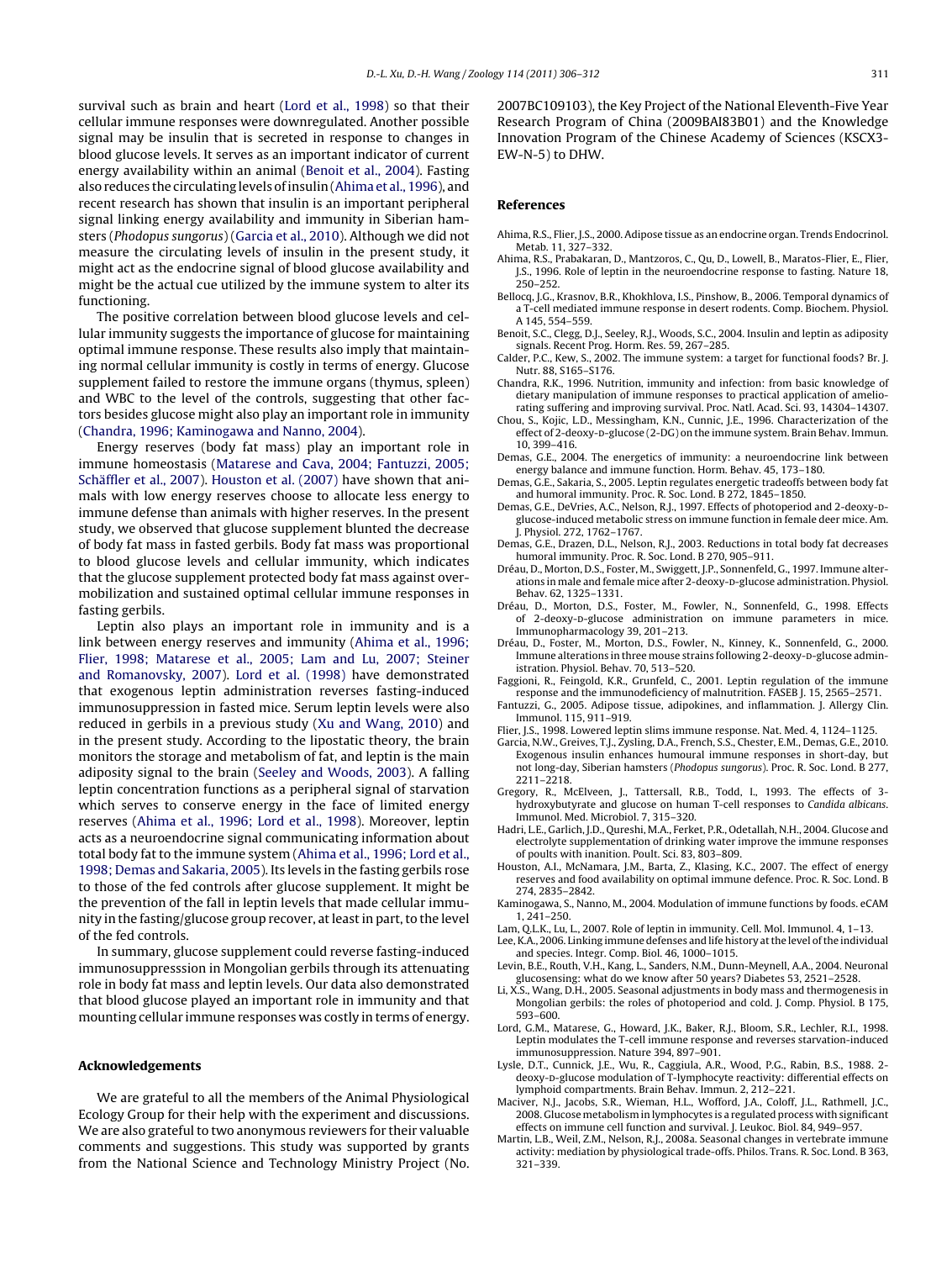<span id="page-5-0"></span>survival such as brain and heart (Lord et al., 1998) so that their cellular immune responses were downregulated. Another possible signal may be insulin that is secreted in response to changes in blood glucose levels. It serves as an important indicator of current energy availability within an animal (Benoit et al., 2004). Fasting also reduces the circulating levels ofinsulin(Ahima et al., 1996), and recent research has shown that insulin is an important peripheral signal linking energy availability and immunity in Siberian hamsters (Phodopus sungorus) (Garcia et al., 2010). Although we did not measure the circulating levels of insulin in the present study, it might act as the endocrine signal of blood glucose availability and might be the actual cue utilized by the immune system to alter its functioning.

The positive correlation between blood glucose levels and cellular immunity suggests the importance of glucose for maintaining optimal immune response. These results also imply that maintaining normal cellular immunity is costly in terms of energy. Glucose supplement failed to restore the immune organs (thymus, spleen) and WBC to the level of the controls, suggesting that other factors besides glucose might also play an important role in immunity (Chandra, 1996; Kaminogawa and Nanno, 2004).

Energy reserves (body fat mass) play an important role in immune homeostasis ([Matarese](#page-6-0) [and](#page-6-0) [Cava,](#page-6-0) [2004;](#page-6-0) [Fantuzzi,](#page-6-0) [2005;](#page-6-0) [Schäffler](#page-6-0) et [al.,](#page-6-0) [2007\).](#page-6-0) Houston et al. (2007) have shown that animals with low energy reserves choose to allocate less energy to immune defense than animals with higher reserves. In the present study, we observed that glucose supplement blunted the decrease of body fat mass in fasted gerbils. Body fat mass was proportional to blood glucose levels and cellular immunity, which indicates that the glucose supplement protected body fat mass against overmobilization and sustained optimal cellular immune responses in fasting gerbils.

Leptin also plays an important role in immunity and is a link between energy reserves and immunity (Ahima et al., 1996; Flier, 1998; Matarese et al., 2005; Lam and Lu, 2007; Steiner and Romanovsky, 2007). Lord et al. (1998) have demonstrated that exogenous leptin administration reverses fasting-induced immunosuppression in fasted mice. Serum leptin levels were also reduced in gerbils in a previous study ([Xu](#page-6-0) [and](#page-6-0) [Wang,](#page-6-0) [2010\)](#page-6-0) and in the present study. According to the lipostatic theory, the brain monitors the storage and metabolism of fat, and leptin is the main adiposity signal to the brain ([Seeley](#page-6-0) [and](#page-6-0) [Woods,](#page-6-0) [2003\).](#page-6-0) A falling leptin concentration functions as a peripheral signal of starvation which serves to conserve energy in the face of limited energy reserves (Ahima et al., 1996; Lord et al., 1998). Moreover, leptin acts as a neuroendocrine signal communicating information about total body fat to the immune system (Ahima et al., 1996; Lord et al., 1998; Demas and Sakaria, 2005). Its levels in the fasting gerbils rose to those of the fed controls after glucose supplement. It might be the prevention of the fall in leptin levels that made cellular immunity in the fasting/glucose group recover, at least in part, to the level of the fed controls.

In summary, glucose supplement could reverse fasting-induced immunosuppresssion in Mongolian gerbils through its attenuating role in body fat mass and leptin levels. Our data also demonstrated that blood glucose played an important role in immunity and that mounting cellular immune responses was costly in terms of energy.

#### **Acknowledgements**

We are grateful to all the members of the Animal Physiological Ecology Group for their help with the experiment and discussions. We are also grateful to two anonymous reviewers for their valuable comments and suggestions. This study was supported by grants from the National Science and Technology Ministry Project (No. 2007BC109103), the Key Project of the National Eleventh-Five Year Research Program of China (2009BAI83B01) and the Knowledge Innovation Program of the Chinese Academy of Sciences (KSCX3- EW-N-5) to DHW.

#### **References**

- Ahima, R.S., Flier, J.S., 2000. Adipose tissue as an endocrine organ. Trends Endocrinol. Metab. 11, 327–332.
- Ahima, R.S., Prabakaran, D., Mantzoros, C., Qu, D., Lowell, B., Maratos-Flier, E., Flier, J.S., 1996. Role of leptin in the neuroendocrine response to fasting. Nature 18,  $250 - 252$
- Bellocq, J.G., Krasnov, B.R., Khokhlova, I.S., Pinshow, B., 2006. Temporal dynamics of a T-cell mediated immune response in desert rodents. Comp. Biochem. Physiol. A 145, 554–559.
- Benoit, S.C., Clegg, D.J., Seeley, R.J., Woods, S.C., 2004. Insulin and leptin as adiposity signals. Recent Prog. Horm. Res. 59, 267–285.
- Calder, P.C., Kew, S., 2002. The immune system: a target for functional foods? Br. J. Nutr. 88, S165–S176.
- Chandra, R.K., 1996. Nutrition, immunity and infection: from basic knowledge of dietary manipulation of immune responses to practical application of ameliorating suffering and improving survival. Proc. Natl. Acad. Sci. 93, 14304–14307.
- Chou, S., Kojic, L.D., Messingham, K.N., Cunnic, J.E., 1996. Characterization of the effect of 2-deoxy-p-glucose (2-DG) on the immune system. Brain Behav. Immun. 10, 399–416.
- Demas, G.E., 2004. The energetics of immunity: a neuroendocrine link between energy balance and immune function. Horm. Behav. 45, 173–180.
- Demas, G.E., Sakaria, S., 2005. Leptin regulates energetic tradeoffs between body fat and humoral immunity. Proc. R. Soc. Lond. B 272, 1845–1850.
- Demas, G.E., DeVries, A.C., Nelson, R.J., 1997. Effects of photoperiod and 2-deoxy-Dglucose-induced metabolic stress on immune function in female deer mice. Am. J. Physiol. 272, 1762–1767.
- Demas, G.E., Drazen, D.L., Nelson, R.J., 2003. Reductions in total body fat decreases humoral immunity. Proc. R. Soc. Lond. B 270, 905–911.
- Dréau, D., Morton, D.S., Foster, M., Swiggett, J.P., Sonnenfeld, G., 1997. Immune alterations in male and female mice after 2-deoxy-D-glucose administration. Physiol. Behav. 62, 1325–1331.
- Dréau, D., Morton, D.S., Foster, M., Fowler, N., Sonnenfeld, G., 1998. Effects of 2-deoxy-p-glucose administration on immune parameters in mice. Immunopharmacology 39, 201–213.
- Dréau, D., Foster, M., Morton, D.S., Fowler, N., Kinney, K., Sonnenfeld, G., 2000. Immune alterations in three mouse strains following 2-deoxy-p-glucose administration. Physiol. Behav. 70, 513–520.
- Faggioni, R., Feingold, K.R., Grunfeld, C., 2001. Leptin regulation of the immune response and the immunodeficiency of malnutrition. FASEB J. 15, 2565–2571.
- Fantuzzi, G., 2005. Adipose tissue, adipokines, and inflammation. J. Allergy Clin. Immunol. 115, 911–919.
- Flier, J.S., 1998. Lowered leptin slims immune response. Nat. Med. 4, 1124–1125. Garcia, N.W., Greives, T.J., Zysling, D.A., French, S.S., Chester, E.M., Demas, G.E., 2010. Exogenous insulin enhances humoural immune responses in short-day, but not long-day, Siberian hamsters (Phodopus sungorus). Proc. R. Soc. Lond. B 277, 2211–2218.
- Gregory, R., McElveen, J., Tattersall, R.B., Todd, I., 1993. The effects of 3 hydroxybutyrate and glucose on human T-cell responses to Candida albicans. Immunol. Med. Microbiol. 7, 315–320.
- Hadri, L.E., Garlich, J.D., Qureshi, M.A., Ferket, P.R., Odetallah, N.H., 2004. Glucose and electrolyte supplementation of drinking water improve the immune responses of poults with inanition. Poult. Sci. 83, 803–809.
- Houston, A.I., McNamara, J.M., Barta, Z., Klasing, K.C., 2007. The effect of energy reserves and food availability on optimal immune defence. Proc. R. Soc. Lond. B 274, 2835–2842.
- Kaminogawa, S., Nanno, M., 2004. Modulation of immune functions by foods. eCAM 1, 241–250.
- Lam, Q.L.K., Lu, L., 2007. Role of leptin in immunity. Cell. Mol. Immunol. 4, 1–13.
- Lee, K.A., 2006. Linking immune defenses and life history at the level of the individual and species. Integr. Comp. Biol. 46, 1000–1015.
- Levin, B.E., Routh, V.H., Kang, L., Sanders, N.M., Dunn-Meynell, A.A., 2004. Neuronal glucosensing: what do we know after 50 years? Diabetes 53, 2521–2528.
- Li, X.S., Wang, D.H., 2005. Seasonal adjustments in body mass and thermogenesis in Mongolian gerbils: the roles of photoperiod and cold. J. Comp. Physiol. B 175, 593–600.
- Lord, G.M., Matarese, G., Howard, J.K., Baker, R.J., Bloom, S.R., Lechler, R.I., 1998. Leptin modulates the T-cell immune response and reverses starvation-induced immunosuppression. Nature 394, 897–901.
- Lysle, D.T., Cunnick, J.E., Wu, R., Caggiula, A.R., Wood, P.G., Rabin, B.S., 1988. 2 deoxy-D-glucose modulation of T-lymphocyte reactivity: differential effects on lymphoid compartments. Brain Behav. Immun. 2, 212–221.
- Maciver, N.J., Jacobs, S.R., Wieman, H.L., Wofford, J.A., Coloff, J.L., Rathmell, J.C., 2008. Glucose metabolism in lymphocytes is a regulated process with significant effects on immune cell function and survival. J. Leukoc. Biol. 84, 949–957.
- Martin, L.B., Weil, Z.M., Nelson, R.J., 2008a. Seasonal changes in vertebrate immune activity: mediation by physiological trade-offs. Philos. Trans. R. Soc. Lond. B 363, 321–339.